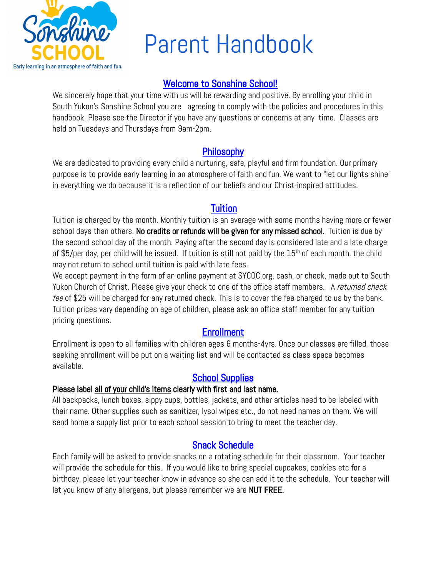

# Parent Handbook

# Welcome to Sonshine School!

We sincerely hope that your time with us will be rewarding and positive. By enrolling your child in South Yukon's Sonshine School you are agreeing to comply with the policies and procedures in this handbook. Please see the Director if you have any questions or concerns at any time. Classes are held on Tuesdays and Thursdays from 9am-2pm.

# Philosophy

We are dedicated to providing every child a nurturing, safe, playful and firm foundation. Our primary purpose is to provide early learning in an atmosphere of faith and fun. We want to "let our lights shine" in everything we do because it is a reflection of our beliefs and our Christ-inspired attitudes.

### **Tuition**

Tuition is charged by the month. Monthly tuition is an average with some months having more or fewer school days than others. No credits or refunds will be given for any missed school. Tuition is due by the second school day of the month. Paying after the second day is considered late and a late charge of \$5/per day, per child will be issued. If tuition is still not paid by the  $15<sup>th</sup>$  of each month, the child may not return to school until tuition is paid with late fees.

We accept payment in the form of an online payment at SYCOC.org, cash, or check, made out to South Yukon Church of Christ. Please give your check to one of the office staff members. A returned check fee of \$25 will be charged for any returned check. This is to cover the fee charged to us by the bank. Tuition prices vary depending on age of children, please ask an office staff member for any tuition pricing questions.

# **Enrollment**

Enrollment is open to all families with children ages 6 months-4yrs. Once our classes are filled, those seeking enrollment will be put on a waiting list and will be contacted as class space becomes available.

# School Supplies

#### Please label all of your child's items clearly with first and last name.

All backpacks, lunch boxes, sippy cups, bottles, jackets, and other articles need to be labeled with their name. Other supplies such as sanitizer, lysol wipes etc., do not need names on them. We will send home a supply list prior to each school session to bring to meet the teacher day.

### Snack Schedule

Each family will be asked to provide snacks on a rotating schedule for their classroom. Your teacher will provide the schedule for this. If you would like to bring special cupcakes, cookies etc for a birthday, please let your teacher know in advance so she can add it to the schedule. Your teacher will let you know of any allergens, but please remember we are NUT FREE.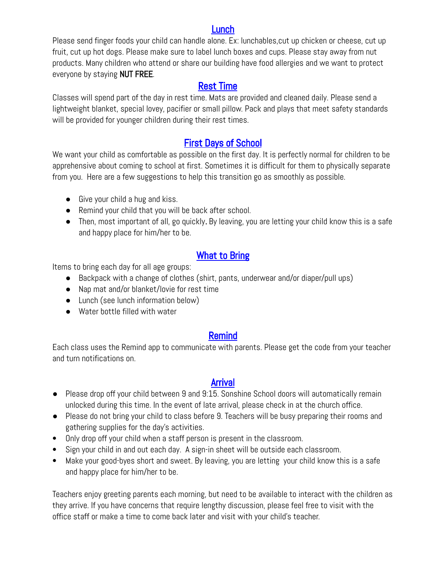#### Lunch

Please send finger foods your child can handle alone. Ex: lunchables,cut up chicken or cheese, cut up fruit, cut up hot dogs. Please make sure to label lunch boxes and cups. Please stay away from nut products. Many children who attend or share our building have food allergies and we want to protect everyone by staying NUT FREE.

# Rest Time

Classes will spend part of the day in rest time. Mats are provided and cleaned daily. Please send a lightweight blanket, special lovey, pacifier or small pillow. Pack and plays that meet safety standards will be provided for younger children during their rest times.

# First Days of School

We want your child as comfortable as possible on the first day. It is perfectly normal for children to be apprehensive about coming to school at first. Sometimes it is difficult for them to physically separate from you. Here are a few suggestions to help this transition go as smoothly as possible.

- Give your child a hug and kiss.
- Remind your child that you will be back after school.
- Then, most important of all, go quickly. By leaving, you are letting your child know this is a safe and happy place for him/her to be.

# What to Bring

Items to bring each day for all age groups:

- Backpack with a change of clothes (shirt, pants, underwear and/or diaper/pull ups)
- Nap mat and/or blanket/lovie for rest time
- Lunch (see lunch information below)
- Water bottle filled with water

### Remind

Each class uses the Remind app to communicate with parents. Please get the code from your teacher and turn notifications on.

### Arrival

- Please drop off your child between 9 and 9:15. Sonshine School doors will automatically remain unlocked during this time. In the event of late arrival, please check in at the church office.
- Please do not bring your child to class before 9. Teachers will be busy preparing their rooms and gathering supplies for the day's activities.
- Only drop off your child when a staff person is present in the classroom.
- Sign your child in and out each day. A sign-in sheet will be outside each classroom.
- Make your good-byes short and sweet. By leaving, you are letting your child know this is a safe and happy place for him/her to be.

Teachers enjoy greeting parents each morning, but need to be available to interact with the children as they arrive. If you have concerns that require lengthy discussion, please feel free to visit with the office staff or make a time to come back later and visit with your child's teacher.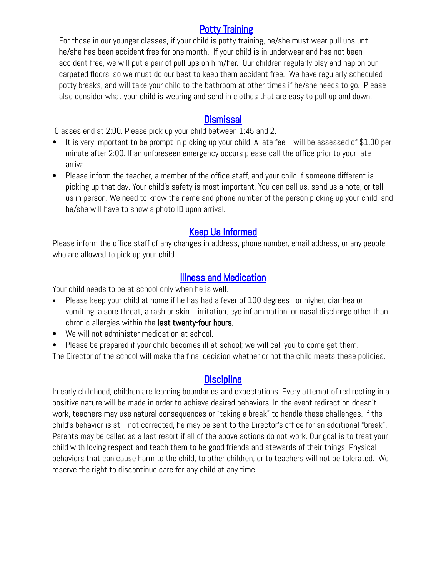# Potty Training

For those in our younger classes, if your child is potty training, he/she must wear pull ups until he/she has been accident free for one month. If your child is in underwear and has not been accident free, we will put a pair of pull ups on him/her. Our children regularly play and nap on our carpeted floors, so we must do our best to keep them accident free. We have regularly scheduled potty breaks, and will take your child to the bathroom at other times if he/she needs to go. Please also consider what your child is wearing and send in clothes that are easy to pull up and down.

#### **Dismissal**

Classes end at 2:00. Please pick up your child between 1:45 and 2.

- It is very important to be prompt in picking up your child. A late fee will be assessed of \$1.00 per minute after 2:00. If an unforeseen emergency occurs please call the office prior to your late arrival.
- Please inform the teacher, a member of the office staff, and your child if someone different is picking up that day. Your child's safety is most important. You can call us, send us a note, or tell us in person. We need to know the name and phone number of the person picking up your child, and he/she will have to show a photo ID upon arrival.

# Keep Us Informed

Please inform the office staff of any changes in address, phone number, email address, or any people who are allowed to pick up your child.

### Illness and Medication

Your child needs to be at school only when he is well.

- Please keep your child at home if he has had a fever of 100 degrees or higher, diarrhea or vomiting, a sore throat, a rash or skin irritation, eye inflammation, or nasal discharge other than chronic allergies within the last twenty-four hours.
- We will not administer medication at school.
- Please be prepared if your child becomes ill at school; we will call you to come get them.

The Director of the school will make the final decision whether or not the child meets these policies.

# **Discipline**

In early childhood, children are learning boundaries and expectations. Every attempt of redirecting in a positive nature will be made in order to achieve desired behaviors. In the event redirection doesn't work, teachers may use natural consequences or "taking a break" to handle these challenges. If the child's behavior is still not corrected, he may be sent to the Director's office for an additional "break". Parents may be called as a last resort if all of the above actions do not work. Our goal is to treat your child with loving respect and teach them to be good friends and stewards of their things. Physical behaviors that can cause harm to the child, to other children, or to teachers will not be tolerated. We reserve the right to discontinue care for any child at any time.